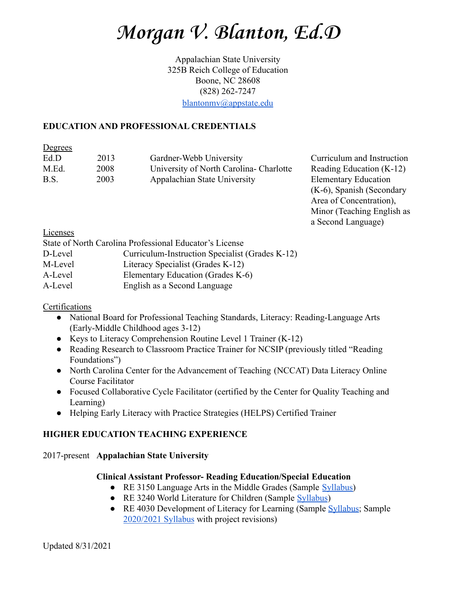Appalachian State University 325B Reich College of Education Boone, NC 28608 (828) 262-7247

[blantonmv@appstate.edu](mailto:blantonmv@appstate.edu)

### **EDUCATION AND PROFESSIONAL CREDENTIALS**

**Degrees** 

| Ed.D  | 2013 | Gardner-Webb University                |
|-------|------|----------------------------------------|
| M.Ed. | 2008 | University of North Carolina-Charlotte |
| B.S.  | 2003 | Appalachian State University           |

Curriculum and Instruction Reading Education  $(K-12)$ **Elementary Education** (K-6), Spanish (Secondary Area of Concentration), Minor (Teaching English as a Second Language)

Licenses

|         | State of North Carolina Professional Educator's License |
|---------|---------------------------------------------------------|
| D-Level | Curriculum-Instruction Specialist (Grades K-12)         |
| M-Level | Literacy Specialist (Grades K-12)                       |
| A-Level | Elementary Education (Grades K-6)                       |
| A-Level | English as a Second Language                            |

## **Certifications**

- National Board for Professional Teaching Standards, Literacy: Reading-Language Arts (Early-Middle Childhood ages 3-12)
- Keys to Literacy Comprehension Routine Level 1 Trainer (K-12)
- Reading Research to Classroom Practice Trainer for NCSIP (previously titled "Reading Foundations")
- North Carolina Center for the Advancement of Teaching (NCCAT) Data Literacy Online Course Facilitator
- Focused Collaborative Cycle Facilitator (certified by the Center for Quality Teaching and Learning)
- Helping Early Literacy with Practice Strategies (HELPS) Certified Trainer

## **HIGHER EDUCATION TEACHING EXPERIENCE**

## 2017-present **Appalachian State University**

## **Clinical Assistant Professor- Reading Education/Special Education**

- RE 3150 Language Arts in the Middle Grades (Sample [Syllabus\)](https://drive.google.com/open?id=13uMDv-Xc1jTjkL4ULON-o4xTpMhrGIBD)
- RE 3240 World Literature for Children (Sample [Syllabus](https://drive.google.com/file/d/1dWYc2DfSBeFpTJgWyi8mlc43XbAglmGe/view?usp=sharing))
- RE 4030 Development of Literacy for Learning (Sample [Syllabus](https://drive.google.com/open?id=1fUgX3GqOX6fgXqM8g_HjBeF14x5PiZd_); Sample [2020/2021 Syllabus](https://drive.google.com/file/d/1N30C1szjk7ElRZt0cSlc8YXHoGN8ZeYR/view?usp=sharing) with project revisions)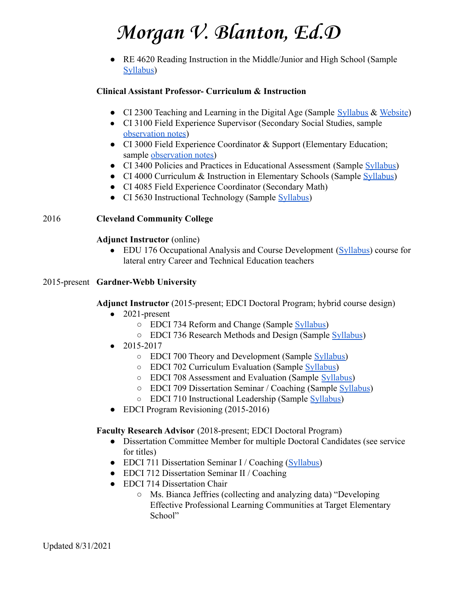● RE 4620 Reading Instruction in the Middle/Junior and High School (Sample [Syllabus\)](https://drive.google.com/open?id=1WraLeORW170LrSfykrFPv5bpL4x6jUut)

### **Clinical Assistant Professor- Curriculum & Instruction**

- CI 2300 Teaching and Learning in the Digital Age (Sample [Syllabus](https://drive.google.com/a/appstate.edu/file/d/0B9oQ87gT1LGAX3lkbVd5c1NvMVU/view?usp=sharing) & [Website](https://sites.google.com/appstate.edu/drblantonsci2300/home?authuser=0))
- CI 3100 Field Experience Supervisor (Secondary Social Studies, sampl[e](https://drive.google.com/open?id=1bG9UbkW13KNi_Ce7AwT5M-cKEh4apfg1) [observation notes\)](https://drive.google.com/open?id=1bG9UbkW13KNi_Ce7AwT5M-cKEh4apfg1)
- CI 3000 Field Experience Coordinator & Support (Elementary Education; sample [observation notes\)](https://drive.google.com/open?id=1MlnzWhHXUHpxx0Yo_EofDO1fFiEbr3Iy)
- CI 3400 Policies and Practices in Educational Assessment (Sample [Syllabus\)](https://drive.google.com/open?id=1SbhGNfdqLP6iHzRnqDpuwrqAKjT8mkQN)
- CI 4000 Curriculum & Instruction in Elementary Schools (Sample [Syllabus](https://drive.google.com/open?id=1ZOgG6Ucofs6C2ns7NAThi_FsVRERyIhz))
- CI 4085 Field Experience Coordinator (Secondary Math)
- CI 5630 Instructional Technology (Sample [Syllabus](https://drive.google.com/open?id=1AoHORZXLf8SMfSudb9PtcVn3aOhpEUQ5))

### 2016 **Cleveland Community College**

### **Adjunct Instructor** (online)

• EDU 176 Occupational Analysis and Course Development [\(Syllabus\)](https://docs.google.com/document/d/1pF6_gBR_C88X0-YGdDMmoMshGbZRJLk208Fwm-pxJfU/edit?usp=sharing) course for lateral entry Career and Technical Education teachers

### 2015-present **Gardner-Webb University**

**Adjunct Instructor** (2015-present; EDCI Doctoral Program; hybrid course design)

- $\bullet$  2021-present
	- EDCI 734 Reform and Change (Sample [Syllabus\)](https://docs.google.com/document/d/1WRDw2fuWTYqAYczo3aRSpZzcXidoMA_64uAAE-Nw_Kk/edit?usp=sharing)
	- EDCI 736 Research Methods and Design (Sample [Syllabus](https://docs.google.com/document/d/17UQJQN6LYAdZSijj3GNX_uIrYgNCm2kKUjs6U85tzic/edit?usp=sharing))
- 2015-2017
	- EDCI 700 Theory and Development (Sample [Syllabus\)](https://drive.google.com/file/d/1zA4nOPzrokEJUZjLRYqVe-fQVEILP7uI/view?usp=sharing)
	- EDCI 702 Curriculum Evaluation (Sample [Syllabus](https://docs.google.com/document/d/1FjhYFVc7amGccW6YiGIpTfcpqOmfr5j2bOVzmAzvyE4/edit?usp=sharing))
	- EDCI 708 Assessment and Evaluation (Sample [Syllabus\)](https://drive.google.com/file/d/0By5owHLPw16_VXFpNi1xbHhMQ28/view)
	- EDCI 709 Dissertation Seminar / Coaching (Sample [Syllabus](https://docs.google.com/document/d/1Ds6fFJVqzk-8ZDjIFyhuK4BJaSFO33uM_3oH5LWX4iw/edit?usp=sharing))
	- EDCI 710 Instructional Leadership (Sample [Syllabus\)](https://drive.google.com/file/d/1lrIGw-dihYGZ-LT7wbNvkScO7zPOhg_3/view?usp=sharing)
- EDCI Program Revisioning (2015-2016)

### **Faculty Research Advisor** (2018-present; EDCI Doctoral Program)

- Dissertation Committee Member for multiple Doctoral Candidates (see service for titles)
- EDCI 711 Dissertation Seminar I / Coaching [\(Syllabus\)](https://docs.google.com/document/d/1l3I5RQoZTtbiZ5R89RlwvfNa6lB4KrF9-abzmhx3y4k/edit?usp=sharing)
- EDCI 712 Dissertation Seminar II / Coaching
- EDCI 714 Dissertation Chair
	- Ms. Bianca Jeffries (collecting and analyzing data) "Developing Effective Professional Learning Communities at Target Elementary School"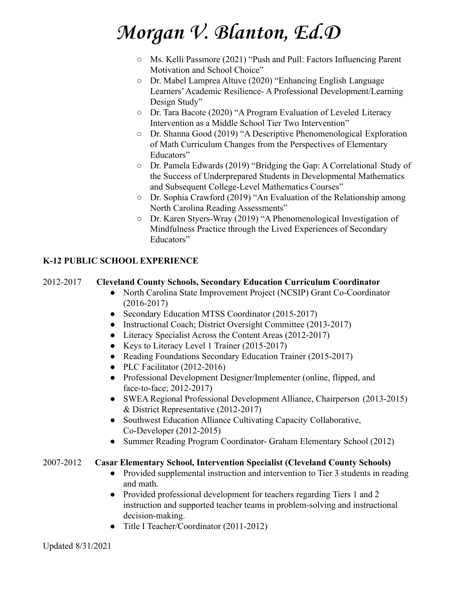- Ms. Kelli Passmore (2021) "Push and Pull: Factors Influencing Parent Motivation and School Choice"
- Dr. Mabel Lamprea Altuve (2020) "Enhancing English Language Learners'Academic Resilience- A Professional Development/Learning Design Study"
- Dr. Tara Bacote (2020) "A Program Evaluation of Leveled Literacy Intervention as a Middle School Tier Two Intervention"
- Dr. Shanna Good (2019) "A Descriptive Phenomenological Exploration of Math Curriculum Changes from the Perspectives of Elementary Educators"
- Dr. Pamela Edwards (2019) "Bridging the Gap: A Correlational Study of the Success of Underprepared Students in Developmental Mathematics and Subsequent College-Level Mathematics Courses"
- Dr. Sophia Crawford (2019) "An Evaluation of the Relationship among North Carolina Reading Assessments"
- Dr. Karen Styers-Wray (2019) "A Phenomenological Investigation of Mindfulness Practice through the Lived Experiences of Secondary Educators"

## **K-12 PUBLIC SCHOOL EXPERIENCE**

## 2012-2017 **Cleveland County Schools, Secondary Education Curriculum Coordinator**

- North Carolina State Improvement Project (NCSIP) Grant Co-Coordinator (2016-2017)
- Secondary Education MTSS Coordinator (2015-2017)
- Instructional Coach; District Oversight Committee (2013-2017)
- Literacy Specialist Across the Content Areas (2012-2017)
- Keys to Literacy Level 1 Trainer (2015-2017)
- Reading Foundations Secondary Education Trainer (2015-2017)
- PLC Facilitator (2012-2016)
- Professional Development Designer/Implementer (online, flipped, and face-to-face; 2012-2017)
- SWEA Regional Professional Development Alliance, Chairperson (2013-2015) & District Representative (2012-2017)
- Southwest Education Alliance Cultivating Capacity Collaborative, Co-Developer (2012-2015)
- Summer Reading Program Coordinator- Graham Elementary School (2012)

## 2007-2012 **Casar Elementary School, Intervention Specialist (Cleveland County Schools)**

- Provided supplemental instruction and intervention to Tier 3 students in reading and math.
- Provided professional development for teachers regarding Tiers 1 and 2 instruction and supported teacher teams in problem-solving and instructional decision-making.
- Title I Teacher/Coordinator (2011-2012)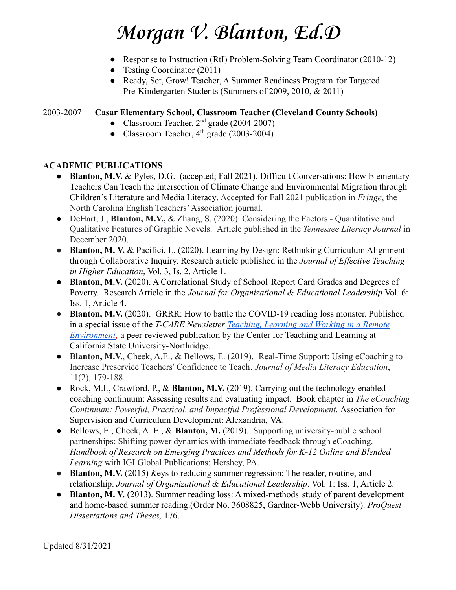- Response to Instruction (RtI) Problem-Solving Team Coordinator (2010-12)
- Testing Coordinator (2011)
- Ready, Set, Grow! Teacher, A Summer Readiness Program for Targeted Pre-Kindergarten Students (Summers of 2009, 2010, & 2011)

## 2003-2007 **Casar Elementary School, Classroom Teacher (Cleveland County Schools)**

- Classroom Teacher,  $2<sup>nd</sup>$  grade (2004-2007)
- Classroom Teacher,  $4<sup>th</sup>$  grade (2003-2004)

### **ACADEMIC PUBLICATIONS**

- **Blanton, M.V.** & Pyles, D.G. (accepted; Fall 2021). Difficult Conversations: How Elementary Teachers Can Teach the Intersection of Climate Change and Environmental Migration through Children's Literature and Media Literacy. Accepted for Fall 2021 publication in *Fringe*, the North Carolina English Teachers'Association journal.
- DeHart, J., **Blanton, M.V.,** & Zhang, S. (2020). Considering the Factors Quantitative and Qualitative Features of Graphic Novels. Article published in the *Tennessee Literacy Journal* in December 2020.
- *●* **Blanton, M. V.** & Pacifici, L. (2020). Learning by Design: Rethinking Curriculum Alignment through Collaborative Inquiry. Research article published in the *Journal of Effective Teaching in Higher Education*, Vol. 3, Is. 2, Article 1.
- **Blanton, M.V.** (2020). A Correlational Study of School Report Card Grades and Degrees of Poverty. Research Article in the *Journal for Organizational & Educational Leadership* Vol. 6: Iss. 1, Article 4.
- *●* **Blanton, M.V.** (2020). GRRR: How to battle the COVID-19 reading loss monster. Published in a special issue of the *T-CARE Newsletter Teaching, [Learning and Working in a Remote](https://www.csun.edu/sites/default/files/TCARE-Issue-9.pdf) [Environment](https://www.csun.edu/sites/default/files/TCARE-Issue-9.pdf)*, a peer-reviewed publication by the Center for Teaching and Learning at California State University-Northridge.
- **Blanton, M.V.**, Cheek, A.E., & Bellows, E. (2019). Real-Time Support: Using eCoaching to Increase Preservice Teachers' Confidence to Teach. *Journal of Media Literacy Education*, 11(2), 179-188.
- Rock, M.L, Crawford, P., & **Blanton, M.V.** (2019). Carrying out the technology enabled coaching continuum: Assessing results and evaluating impact. Book chapter in *The eCoaching Continuum: Powerful, Practical, and Impactful Professional Development.* Association for Supervision and Curriculum Development: Alexandria, VA.
- Bellows, E., Cheek, A. E., & **Blanton, M.** (2019). Supporting university-public school partnerships: Shifting power dynamics with immediate feedback through eCoaching. *Handbook of Research on Emerging Practices and Methods for K-12 Online and Blended Learning* with IGI Global Publications: Hershey, PA.
- **Blanton, M.V.** (2015) *K*eys to reducing summer regression: The reader, routine, and relationship. *Journal of Organizational & Educational Leadership*. Vol. 1: Iss. 1, Article 2.
- **Blanton, M. V.** (2013). Summer reading loss: A mixed-methods study of parent development and home-based summer reading.(Order No. 3608825, Gardner-Webb University). *ProQuest Dissertations and Theses,* 176.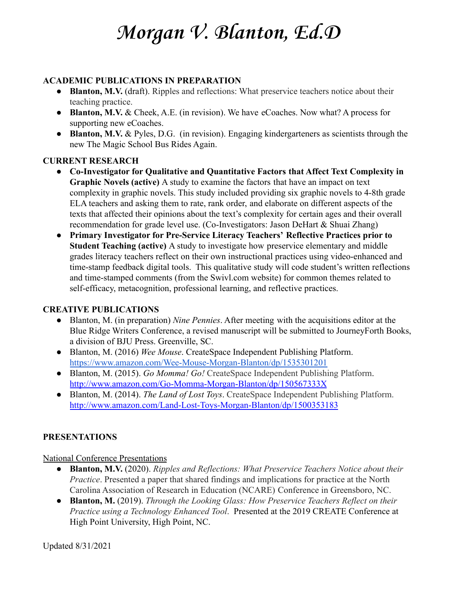### **ACADEMIC PUBLICATIONS IN PREPARATION**

- **Blanton, M.V.** (draft). Ripples and reflections: What preservice teachers notice about their teaching practice.
- **Blanton, M.V.** & Cheek, A.E. (in revision). We have eCoaches. Now what? A process for supporting new eCoaches.
- **Blanton, M.V.** & Pyles, D.G. (in revision). Engaging kindergarteners as scientists through the new The Magic School Bus Rides Again.

### **CURRENT RESEARCH**

- **Co-Investigator for Qualitative and Quantitative Factors that Affect Text Complexity in Graphic Novels (active)** A study to examine the factors that have an impact on text complexity in graphic novels. This study included providing six graphic novels to 4-8th grade ELA teachers and asking them to rate, rank order, and elaborate on different aspects of the texts that affected their opinions about the text's complexity for certain ages and their overall recommendation for grade level use. (Co-Investigators: Jason DeHart & Shuai Zhang)
- **Primary Investigator for Pre-Service Literacy Teachers' Reflective Practices prior to Student Teaching (active)** A study to investigate how preservice elementary and middle grades literacy teachers reflect on their own instructional practices using video-enhanced and time-stamp feedback digital tools. This qualitative study will code student's written reflections and time-stamped comments (from the Swivl.com website) for common themes related to self-efficacy, metacognition, professional learning, and reflective practices.

## **CREATIVE PUBLICATIONS**

- Blanton, M. (in preparation) *Nine Pennies*. After meeting with the acquisitions editor at the Blue Ridge Writers Conference, a revised manuscript will be submitted to JourneyForth Books, a division of BJU Press. Greenville, SC.
- Blanton, M. (2016) *Wee Mouse*. CreateSpace Independent Publishing Platform. <https://www.amazon.com/Wee-Mouse-Morgan-Blanton/dp/1535301201>
- Blanton, M. (2015). *Go Momma! Go!* CreateSpace Independent Publishing Platform. <http://www.amazon.com/Go-Momma-Morgan-Blanton/dp/150567333X>
- Blanton, M. (2014). *The Land of Lost Toys*. CreateSpace Independent Publishing Platform. <http://www.amazon.com/Land-Lost-Toys-Morgan-Blanton/dp/1500353183>

## **PRESENTATIONS**

### National Conference Presentations

- **Blanton, M.V.** (2020). *Ripples and Reflections: What Preservice Teachers Notice about their Practice*. Presented a paper that shared findings and implications for practice at the North Carolina Association of Research in Education (NCARE) Conference in Greensboro, NC.
- **Blanton, M.** (2019). *Through the Looking Glass: How Preservice Teachers Reflect on their Practice using a Technology Enhanced Tool*. Presented at the 2019 CREATE Conference at High Point University, High Point, NC.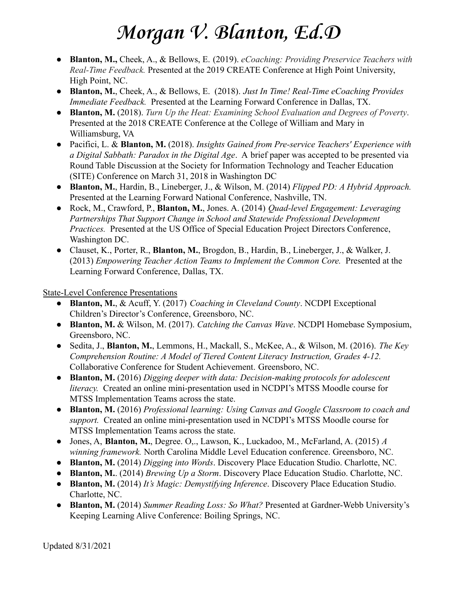- **Blanton, M.,** Cheek, A., & Bellows, E. (2019). *eCoaching: Providing Preservice Teachers with Real-Time Feedback.* Presented at the 2019 CREATE Conference at High Point University, High Point, NC.
- **Blanton, M.**, Cheek, A., & Bellows, E. (2018). *Just In Time! Real-Time eCoaching Provides Immediate Feedback.* Presented at the Learning Forward Conference in Dallas, TX.
- **Blanton, M.** (2018). *Turn Up the Heat: Examining School Evaluation and Degrees of Poverty*. Presented at the 2018 CREATE Conference at the College of William and Mary in Williamsburg, VA
- Pacifici, L. & **Blanton, M.** (2018). *Insights Gained from Pre-service Teachers' Experience with a Digital Sabbath: Paradox in the Digital Age*. A brief paper was accepted to be presented via Round Table Discussion at the Society for Information Technology and Teacher Education (SITE) Conference on March 31, 2018 in Washington DC
- **Blanton, M.**, Hardin, B., Lineberger, J., & Wilson, M. (2014) *Flipped PD: A Hybrid Approach.* Presented at the Learning Forward National Conference, Nashville, TN.
- Rock, M., Crawford, P., **Blanton, M.**, Jones. A. (2014) *Quad-level Engagement: Leveraging Partnerships That Support Change in School and Statewide Professional Development Practices.* Presented at the US Office of Special Education Project Directors Conference, Washington DC.
- Clauset, K., Porter, R., **Blanton, M.**, Brogdon, B., Hardin, B., Lineberger, J., & Walker, J. (2013) *Empowering Teacher Action Teams to Implement the Common Core.* Presented at the Learning Forward Conference, Dallas, TX.

State-Level Conference Presentations

- **Blanton, M.**, & Acuff, Y. (2017) *Coaching in Cleveland County*. NCDPI Exceptional Children's Director's Conference, Greensboro, NC.
- **Blanton, M.** & Wilson, M. (2017). *Catching the Canvas Wave*. NCDPI Homebase Symposium, Greensboro, NC.
- Sedita, J., **Blanton, M.**, Lemmons, H., Mackall, S., McKee, A., & Wilson, M. (2016). *The Key Comprehension Routine: A Model of Tiered Content Literacy Instruction, Grades 4-12.* Collaborative Conference for Student Achievement. Greensboro, NC.
- **Blanton, M.** (2016) *Digging deeper with data: Decision-making protocols for adolescent literacy.* Created an online mini-presentation used in NCDPI's MTSS Moodle course for MTSS Implementation Teams across the state.
- **Blanton, M.** (2016) *Professional learning: Using Canvas and Google Classroom to coach and support.* Created an online mini-presentation used in NCDPI's MTSS Moodle course for MTSS Implementation Teams across the state.
- Jones, A, **Blanton, M.**, Degree. O,., Lawson, K., Luckadoo, M., McFarland, A. (2015) *A winning framework.* North Carolina Middle Level Education conference. Greensboro, NC.
- **Blanton, M.** (2014) *Digging into Words*. Discovery Place Education Studio. Charlotte, NC.
- **Blanton, M.**. (2014) *Brewing Up a Storm*. Discovery Place Education Studio. Charlotte, NC.
- **Blanton, M.** (2014) *It's Magic: Demystifying Inference*. Discovery Place Education Studio. Charlotte, NC.
- **Blanton, M.** (2014) *Summer Reading Loss: So What?* Presented at Gardner-Webb University's Keeping Learning Alive Conference: Boiling Springs, NC.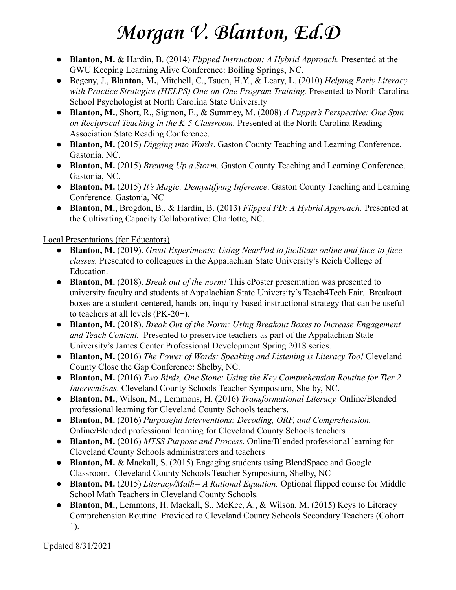- **Blanton, M.** & Hardin, B. (2014) *Flipped Instruction: A Hybrid Approach.* Presented at the GWU Keeping Learning Alive Conference: Boiling Springs, NC.
- Begeny, J., **Blanton, M.**, Mitchell, C., Tsuen, H.Y., & Leary, L. (2010) *Helping Early Literacy with Practice Strategies (HELPS) One-on-One Program Training.* Presented to North Carolina School Psychologist at North Carolina State University
- **Blanton, M.**, Short, R., Sigmon, E., & Summey, M. (2008) *A Puppet's Perspective: One Spin on Reciprocal Teaching in the K-5 Classroom.* Presented at the North Carolina Reading Association State Reading Conference.
- **Blanton, M.** (2015) *Digging into Words*. Gaston County Teaching and Learning Conference. Gastonia, NC.
- **Blanton, M.** (2015) *Brewing Up a Storm*. Gaston County Teaching and Learning Conference. Gastonia, NC.
- **Blanton, M.** (2015) *It's Magic: Demystifying Inference*. Gaston County Teaching and Learning Conference. Gastonia, NC
- **Blanton, M.**, Brogdon, B., & Hardin, B. (2013) *Flipped PD: A Hybrid Approach.* Presented at the Cultivating Capacity Collaborative: Charlotte, NC.

Local Presentations (for Educators)

- **Blanton, M.** (2019). *Great Experiments: Using NearPod to facilitate online and face-to-face classes.* Presented to colleagues in the Appalachian State University's Reich College of Education.
- **Blanton, M.** (2018). *Break out of the norm!* This ePoster presentation was presented to university faculty and students at Appalachian State University's Teach4Tech Fair. Breakout boxes are a student-centered, hands-on, inquiry-based instructional strategy that can be useful to teachers at all levels (PK-20+).
- **Blanton, M.** (2018). *Break Out of the Norm: Using Breakout Boxes to Increase Engagement and Teach Content.* Presented to preservice teachers as part of the Appalachian State University's James Center Professional Development Spring 2018 series.
- **Blanton, M.** (2016) *The Power of Words: Speaking and Listening is Literacy Too!* Cleveland County Close the Gap Conference: Shelby, NC.
- **Blanton, M.** (2016) *Two Birds, One Stone: Using the Key Comprehension Routine for Tier 2 Interventions*. Cleveland County Schools Teacher Symposium, Shelby, NC.
- **Blanton, M.**, Wilson, M., Lemmons, H. (2016) *Transformational Literacy.* Online/Blended professional learning for Cleveland County Schools teachers.
- **Blanton, M.** (2016) *Purposeful Interventions: Decoding, ORF, and Comprehension.* Online/Blended professional learning for Cleveland County Schools teachers
- **Blanton, M.** (2016) *MTSS Purpose and Process*. Online/Blended professional learning for Cleveland County Schools administrators and teachers
- **Blanton, M.** & Mackall, S. (2015) Engaging students using BlendSpace and Google Classroom. Cleveland County Schools Teacher Symposium, Shelby, NC
- **Blanton, M.** (2015) *Literacy/Math= A Rational Equation.* Optional flipped course for Middle School Math Teachers in Cleveland County Schools.
- **Blanton, M.**, Lemmons, H. Mackall, S., McKee, A., & Wilson, M. (2015) Keys to Literacy Comprehension Routine. Provided to Cleveland County Schools Secondary Teachers (Cohort 1).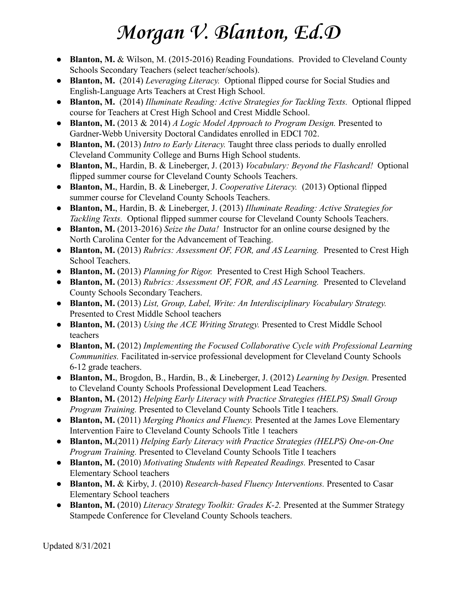- **Blanton, M.** & Wilson, M. (2015-2016) Reading Foundations. Provided to Cleveland County Schools Secondary Teachers (select teacher/schools).
- **Blanton, M.** (2014) *Leveraging Literacy.* Optional flipped course for Social Studies and English-Language Arts Teachers at Crest High School.
- **Blanton, M.** (2014) *Illuminate Reading: Active Strategies for Tackling Texts.* Optional flipped course for Teachers at Crest High School and Crest Middle School.
- **Blanton, M.** (2013 & 2014) *A Logic Model Approach to Program Design.* Presented to Gardner-Webb University Doctoral Candidates enrolled in EDCI 702.
- **Blanton, M.** (2013) *Intro to Early Literacy.* Taught three class periods to dually enrolled Cleveland Community College and Burns High School students.
- **Blanton, M.**, Hardin, B. & Lineberger, J. (2013) *Vocabulary: Beyond the Flashcard!* Optional flipped summer course for Cleveland County Schools Teachers.
- **Blanton, M.**, Hardin, B. & Lineberger, J. *Cooperative Literacy.* (2013) Optional flipped summer course for Cleveland County Schools Teachers.
- **Blanton, M.**, Hardin, B. & Lineberger, J. (2013) *Illuminate Reading: Active Strategies for Tackling Texts.* Optional flipped summer course for Cleveland County Schools Teachers.
- **Blanton, M.** (2013-2016) *Seize the Data!* Instructor for an online course designed by the North Carolina Center for the Advancement of Teaching.
- **Blanton, M.** (2013) *Rubrics: Assessment OF, FOR, and AS Learning.* Presented to Crest High School Teachers.
- **Blanton, M.** (2013) *Planning for Rigor.* Presented to Crest High School Teachers.
- **Blanton, M.** (2013) *Rubrics: Assessment OF, FOR, and AS Learning.* Presented to Cleveland County Schools Secondary Teachers.
- **Blanton, M.** (2013) *List, Group, Label, Write: An Interdisciplinary Vocabulary Strategy.* Presented to Crest Middle School teachers
- **Blanton, M.** (2013) *Using the ACE Writing Strategy.* Presented to Crest Middle School teachers
- **Blanton, M.** (2012) *Implementing the Focused Collaborative Cycle with Professional Learning Communities.* Facilitated in-service professional development for Cleveland County Schools 6-12 grade teachers.
- **Blanton, M.**, Brogdon, B., Hardin, B., & Lineberger, J. (2012) *Learning by Design.* Presented to Cleveland County Schools Professional Development Lead Teachers.
- **Blanton, M.** (2012) *Helping Early Literacy with Practice Strategies (HELPS) Small Group Program Training.* Presented to Cleveland County Schools Title I teachers.
- **Blanton, M.** (2011) *Merging Phonics and Fluency.* Presented at the James Love Elementary Intervention Faire to Cleveland County Schools Title 1 teachers
- **Blanton, M.**(2011) *Helping Early Literacy with Practice Strategies (HELPS) One-on-One Program Training.* Presented to Cleveland County Schools Title I teachers
- **Blanton, M.** (2010) *Motivating Students with Repeated Readings.* Presented to Casar Elementary School teachers
- **Blanton, M.** & Kirby, J. (2010) *Research-based Fluency Interventions.* Presented to Casar Elementary School teachers
- **Blanton, M.** (2010) *Literacy Strategy Toolkit: Grades K-2.* Presented at the Summer Strategy Stampede Conference for Cleveland County Schools teachers.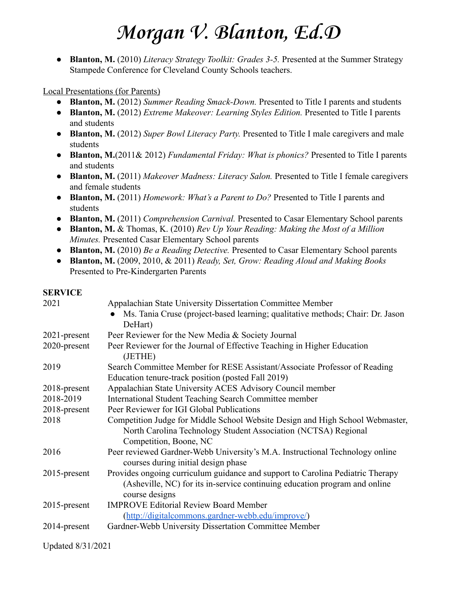● **Blanton, M.** (2010) *Literacy Strategy Toolkit: Grades 3-5.* Presented at the Summer Strategy Stampede Conference for Cleveland County Schools teachers.

## Local Presentations (for Parents)

- **Blanton, M.** (2012) *Summer Reading Smack-Down.* Presented to Title I parents and students
- **Blanton, M.** (2012) *Extreme Makeover: Learning Styles Edition.* Presented to Title I parents and students
- **Blanton, M.** (2012) *Super Bowl Literacy Party.* Presented to Title I male caregivers and male students
- **Blanton, M.**(2011& 2012) *Fundamental Friday: What is phonics?* Presented to Title I parents and students
- **Blanton, M.** (2011) *Makeover Madness: Literacy Salon.* Presented to Title I female caregivers and female students
- **Blanton, M.** (2011) *Homework: What's a Parent to Do?* Presented to Title I parents and students
- **Blanton, M.** (2011) *Comprehension Carnival.* Presented to Casar Elementary School parents
- **Blanton, M.** & Thomas, K. (2010) *Rev Up Your Reading: Making the Most of a Million Minutes.* Presented Casar Elementary School parents
- **Blanton, M.** (2010) *Be a Reading Detective.* Presented to Casar Elementary School parents
- **Blanton, M.** (2009, 2010, & 2011) *Ready, Set, Grow: Reading Aloud and Making Books* Presented to Pre-Kindergarten Parents

## **SERVICE**

| 2021            | Appalachian State University Dissertation Committee Member                                                                                                                     |
|-----------------|--------------------------------------------------------------------------------------------------------------------------------------------------------------------------------|
|                 | Ms. Tania Cruse (project-based learning; qualitative methods; Chair: Dr. Jason<br>DeHart)                                                                                      |
| 2021-present    | Peer Reviewer for the New Media & Society Journal                                                                                                                              |
| 2020-present    | Peer Reviewer for the Journal of Effective Teaching in Higher Education<br>(JETHE)                                                                                             |
| 2019            | Search Committee Member for RESE Assistant/Associate Professor of Reading                                                                                                      |
|                 | Education tenure-track position (posted Fall 2019)                                                                                                                             |
| 2018-present    | Appalachian State University ACES Advisory Council member                                                                                                                      |
| 2018-2019       | International Student Teaching Search Committee member                                                                                                                         |
| 2018-present    | Peer Reviewer for IGI Global Publications                                                                                                                                      |
| 2018            | Competition Judge for Middle School Website Design and High School Webmaster,<br>North Carolina Technology Student Association (NCTSA) Regional                                |
|                 | Competition, Boone, NC                                                                                                                                                         |
| 2016            | Peer reviewed Gardner-Webb University's M.A. Instructional Technology online<br>courses during initial design phase                                                            |
| $2015$ -present | Provides ongoing curriculum guidance and support to Carolina Pediatric Therapy<br>(Asheville, NC) for its in-service continuing education program and online<br>course designs |
| $2015$ -present | <b>IMPROVE Editorial Review Board Member</b>                                                                                                                                   |
|                 | (http://digitalcommons.gardner-webb.edu/improve/)                                                                                                                              |
| 2014-present    | Gardner-Webb University Dissertation Committee Member                                                                                                                          |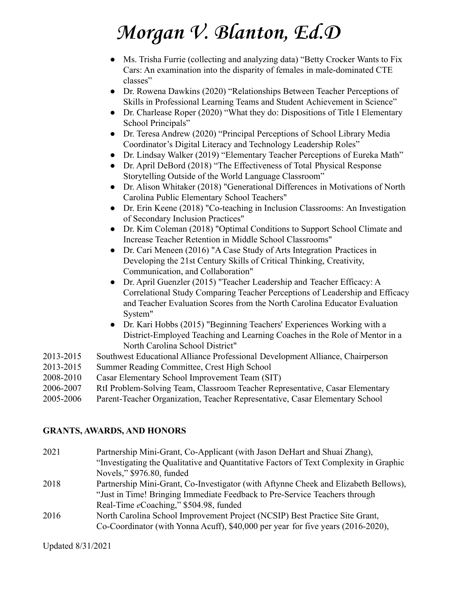- Ms. Trisha Furrie (collecting and analyzing data) "Betty Crocker Wants to Fix Cars: An examination into the disparity of females in male-dominated CTE classes"
- Dr. Rowena Dawkins (2020) "Relationships Between Teacher Perceptions of Skills in Professional Learning Teams and Student Achievement in Science"
- Dr. Charlease Roper (2020) "What they do: Dispositions of Title I Elementary School Principals"
- Dr. Teresa Andrew (2020) "Principal Perceptions of School Library Media Coordinator's Digital Literacy and Technology Leadership Roles"
- Dr. Lindsay Walker (2019) "Elementary Teacher Perceptions of Eureka Math"
- Dr. April DeBord (2018) "The Effectiveness of Total Physical Response Storytelling Outside of the World Language Classroom"
- Dr. Alison Whitaker (2018) "Generational Differences in Motivations of North Carolina Public Elementary School Teachers"
- Dr. Erin Keene (2018) "Co-teaching in Inclusion Classrooms: An Investigation of Secondary Inclusion Practices"
- Dr. Kim Coleman (2018) "Optimal Conditions to Support School Climate and Increase Teacher Retention in Middle School Classrooms"
- Dr. Cari Meneen (2016) "A Case Study of Arts Integration Practices in Developing the 21st Century Skills of Critical Thinking, Creativity, Communication, and Collaboration"
- Dr. April Guenzler (2015) "Teacher Leadership and Teacher Efficacy: A Correlational Study Comparing Teacher Perceptions of Leadership and Efficacy and Teacher Evaluation Scores from the North Carolina Educator Evaluation System"
- Dr. Kari Hobbs (2015) "Beginning Teachers' Experiences Working with a District-Employed Teaching and Learning Coaches in the Role of Mentor in a North Carolina School District"
- 2013-2015 Southwest Educational Alliance Professional Development Alliance, Chairperson
- 2013-2015 Summer Reading Committee, Crest High School
- 2008-2010 Casar Elementary School Improvement Team (SIT)
- 2006-2007 RtI Problem-Solving Team, Classroom Teacher Representative, Casar Elementary
- 2005-2006 Parent-Teacher Organization, Teacher Representative, Casar Elementary School

## **GRANTS, AWARDS, AND HONORS**

- 2021 Partnership Mini-Grant, Co-Applicant (with Jason DeHart and Shuai Zhang), "Investigating the Qualitative and Quantitative Factors of Text Complexity in Graphic Novels," \$976.80, funded
- 2018 Partnership Mini-Grant, Co-Investigator (with Aftynne Cheek and Elizabeth Bellows), "Just in Time! Bringing Immediate Feedback to Pre-Service Teachers through Real-Time *e*Coaching," \$504.98, funded
- 2016 North Carolina School Improvement Project (NCSIP) Best Practice Site Grant, Co-Coordinator (with Yonna Acuff), \$40,000 per year for five years (2016-2020),